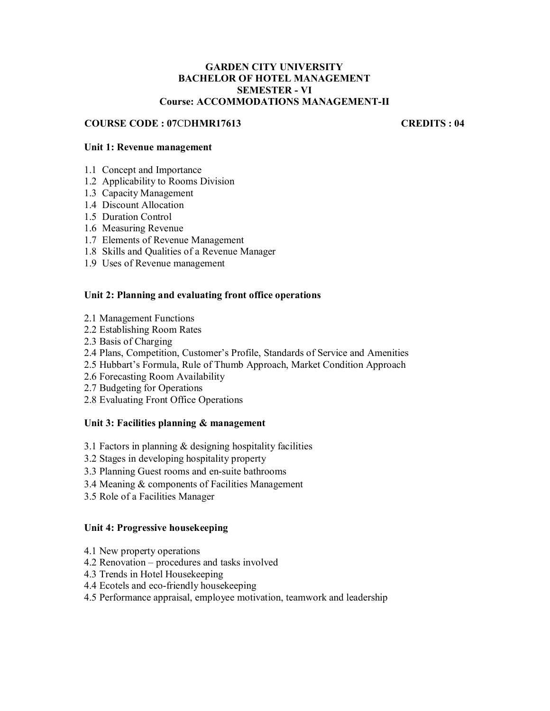#### **GARDEN CITY UNIVERSITY BACHELOR OF HOTEL MANAGEMENT SEMESTER - VI Course: ACCOMMODATIONS MANAGEMENT-II**

#### **COURSE CODE : 07**CD**HMR17613 CREDITS : 04**

#### **Unit 1: Revenue management**

- 1.1 Concept and Importance
- 1.2 Applicability to Rooms Division
- 1.3 Capacity Management
- 1.4 Discount Allocation
- 1.5 Duration Control
- 1.6 Measuring Revenue
- 1.7 Elements of Revenue Management
- 1.8 Skills and Qualities of a Revenue Manager
- 1.9 Uses of Revenue management

#### **Unit 2: Planning and evaluating front office operations**

- 2.1 Management Functions
- 2.2 Establishing Room Rates
- 2.3 Basis of Charging
- 2.4 Plans, Competition, Customer's Profile, Standards of Service and Amenities
- 2.5 Hubbart's Formula, Rule of Thumb Approach, Market Condition Approach
- 2.6 Forecasting Room Availability
- 2.7 Budgeting for Operations
- 2.8 Evaluating Front Office Operations

#### **Unit 3: Facilities planning & management**

- 3.1 Factors in planning & designing hospitality facilities
- 3.2 Stages in developing hospitality property
- 3.3 Planning Guest rooms and en-suite bathrooms
- 3.4 Meaning & components of Facilities Management
- 3.5 Role of a Facilities Manager

#### **Unit 4: Progressive housekeeping**

- 4.1 New property operations
- 4.2 Renovation procedures and tasks involved
- 4.3 Trends in Hotel Housekeeping
- 4.4 Ecotels and eco-friendly housekeeping
- 4.5 Performance appraisal, employee motivation, teamwork and leadership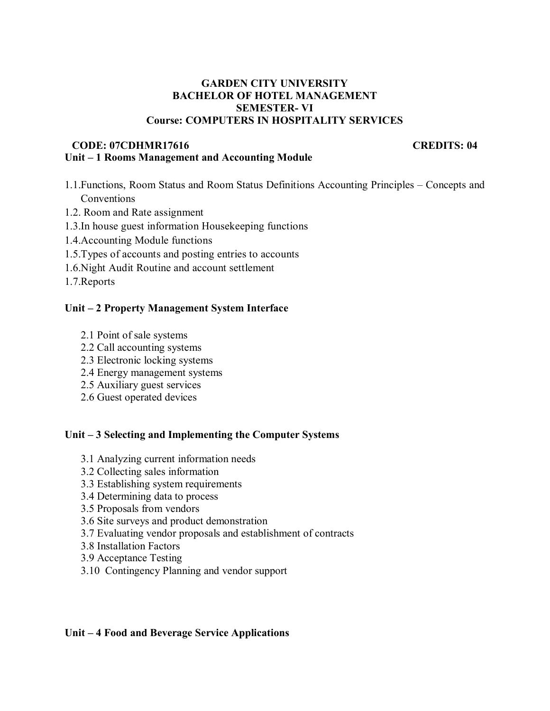#### **GARDEN CITY UNIVERSITY BACHELOR OF HOTEL MANAGEMENT SEMESTER- VI Course: COMPUTERS IN HOSPITALITY SERVICES**

#### **CODE: 07CDHMR17616 CREDITS: 04 Unit – 1 Rooms Management and Accounting Module**

- 1.1.Functions, Room Status and Room Status Definitions Accounting Principles Concepts and Conventions
- 1.2. Room and Rate assignment
- 1.3.In house guest information Housekeeping functions
- 1.4.Accounting Module functions
- 1.5.Types of accounts and posting entries to accounts
- 1.6.Night Audit Routine and account settlement

1.7.Reports

#### **Unit – 2 Property Management System Interface**

- 2.1 Point of sale systems
- 2.2 Call accounting systems
- 2.3 Electronic locking systems
- 2.4 Energy management systems
- 2.5 Auxiliary guest services
- 2.6 Guest operated devices

### **Unit – 3 Selecting and Implementing the Computer Systems**

- 3.1 Analyzing current information needs
- 3.2 Collecting sales information
- 3.3 Establishing system requirements
- 3.4 Determining data to process
- 3.5 Proposals from vendors
- 3.6 Site surveys and product demonstration
- 3.7 Evaluating vendor proposals and establishment of contracts
- 3.8 Installation Factors
- 3.9 Acceptance Testing
- 3.10 Contingency Planning and vendor support

#### **Unit – 4 Food and Beverage Service Applications**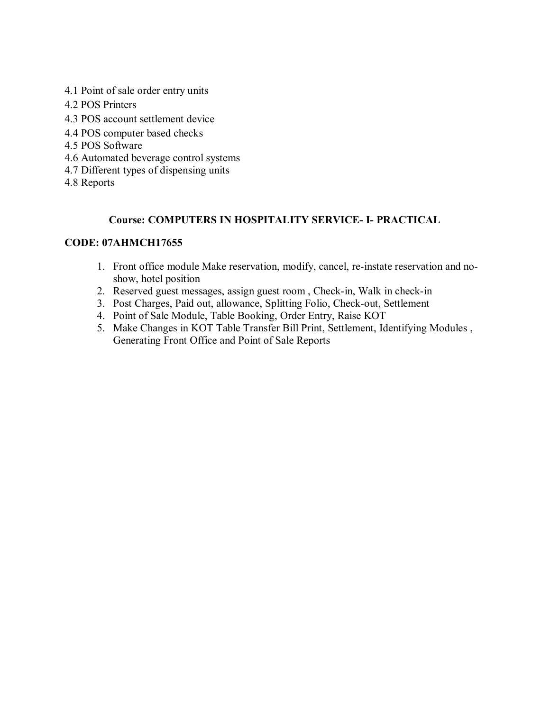- 4.1 Point of sale order entry units
- 4.2 POS Printers
- 4.3 POS account settlement device
- 4.4 POS computer based checks
- 4.5 POS Software
- 4.6 Automated beverage control systems
- 4.7 Different types of dispensing units
- 4.8 Reports

### **Course: COMPUTERS IN HOSPITALITY SERVICE- I- PRACTICAL**

#### **CODE: 07AHMCH17655**

- 1. Front office module Make reservation, modify, cancel, re-instate reservation and noshow, hotel position
- 2. Reserved guest messages, assign guest room , Check-in, Walk in check-in
- 3. Post Charges, Paid out, allowance, Splitting Folio, Check-out, Settlement
- 4. Point of Sale Module, Table Booking, Order Entry, Raise KOT
- 5. Make Changes in KOT Table Transfer Bill Print, Settlement, Identifying Modules , Generating Front Office and Point of Sale Reports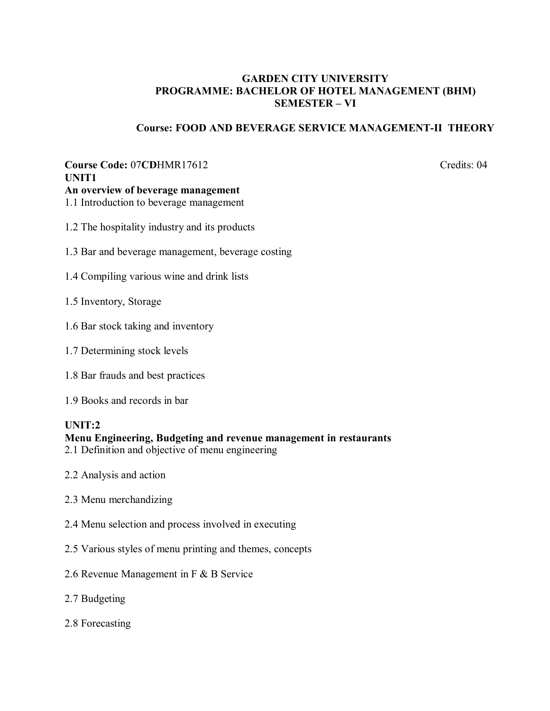### **GARDEN CITY UNIVERSITY PROGRAMME: BACHELOR OF HOTEL MANAGEMENT (BHM) SEMESTER – VI**

### **Course: FOOD AND BEVERAGE SERVICE MANAGEMENT-II THEORY**

# **Course Code: 07CDHMR17612** Credits: 04 **UNIT1**

**An overview of beverage management** 

- 1.1 Introduction to beverage management
- 1.2 The hospitality industry and its products
- 1.3 Bar and beverage management, beverage costing
- 1.4 Compiling various wine and drink lists
- 1.5 Inventory, Storage
- 1.6 Bar stock taking and inventory
- 1.7 Determining stock levels
- 1.8 Bar frauds and best practices
- 1.9 Books and records in bar

#### **UNIT:2**

#### **Menu Engineering, Budgeting and revenue management in restaurants**

- 2.1 Definition and objective of menu engineering
- 2.2 Analysis and action
- 2.3 Menu merchandizing
- 2.4 Menu selection and process involved in executing
- 2.5 Various styles of menu printing and themes, concepts
- 2.6 Revenue Management in F & B Service
- 2.7 Budgeting
- 2.8 Forecasting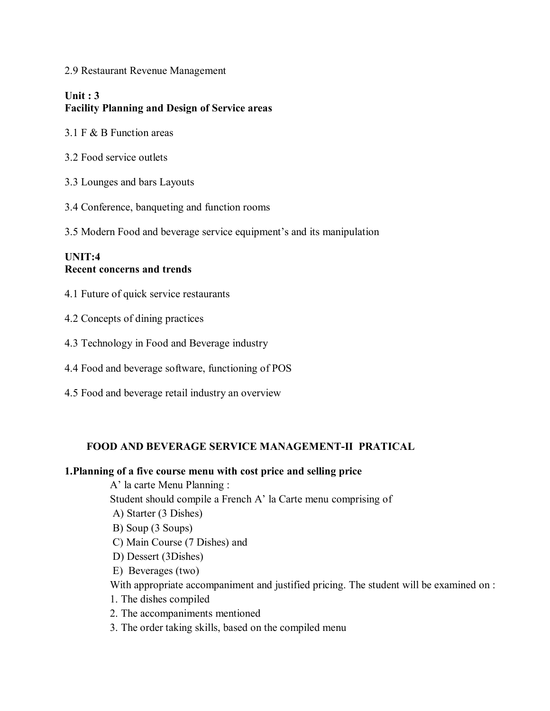2.9 Restaurant Revenue Management

# **Unit : 3 Facility Planning and Design of Service areas**

- 3.1 F & B Function areas
- 3.2 Food service outlets
- 3.3 Lounges and bars Layouts
- 3.4 Conference, banqueting and function rooms
- 3.5 Modern Food and beverage service equipment's and its manipulation

#### **UNIT:4 Recent concerns and trends**

- 4.1 Future of quick service restaurants
- 4.2 Concepts of dining practices
- 4.3 Technology in Food and Beverage industry
- 4.4 Food and beverage software, functioning of POS
- 4.5 Food and beverage retail industry an overview

#### **FOOD AND BEVERAGE SERVICE MANAGEMENT-II PRATICAL**

#### **1.Planning of a five course menu with cost price and selling price**

A' la carte Menu Planning : Student should compile a French A' la Carte menu comprising of A) Starter (3 Dishes) B) Soup (3 Soups) C) Main Course (7 Dishes) and D) Dessert (3Dishes) E) Beverages (two) With appropriate accompaniment and justified pricing. The student will be examined on : 1. The dishes compiled 2. The accompaniments mentioned

3. The order taking skills, based on the compiled menu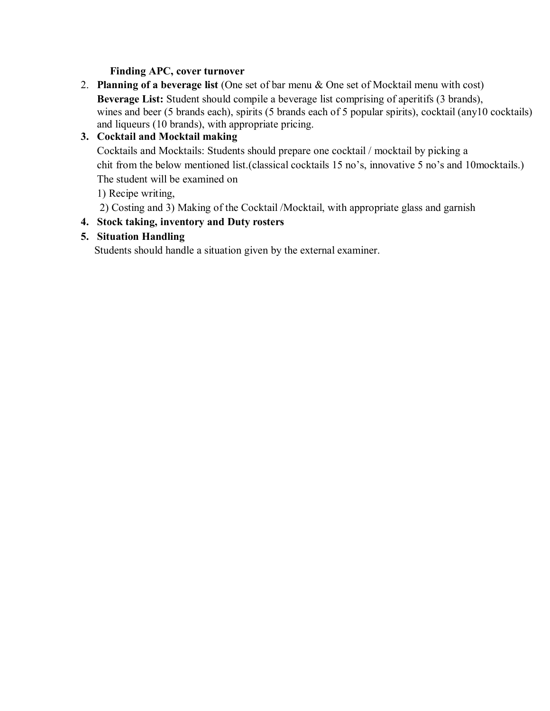## **Finding APC, cover turnover**

2. **Planning of a beverage list** (One set of bar menu & One set of Mocktail menu with cost) **Beverage List:** Student should compile a beverage list comprising of aperitifs (3 brands), wines and beer (5 brands each), spirits (5 brands each of 5 popular spirits), cocktail (any10 cocktails) and liqueurs (10 brands), with appropriate pricing.

# **3. Cocktail and Mocktail making**

Cocktails and Mocktails: Students should prepare one cocktail / mocktail by picking a chit from the below mentioned list.(classical cocktails 15 no's, innovative 5 no's and 10mocktails.) The student will be examined on

1) Recipe writing,

2) Costing and 3) Making of the Cocktail /Mocktail, with appropriate glass and garnish

# **4. Stock taking, inventory and Duty rosters**

# **5. Situation Handling**

Students should handle a situation given by the external examiner.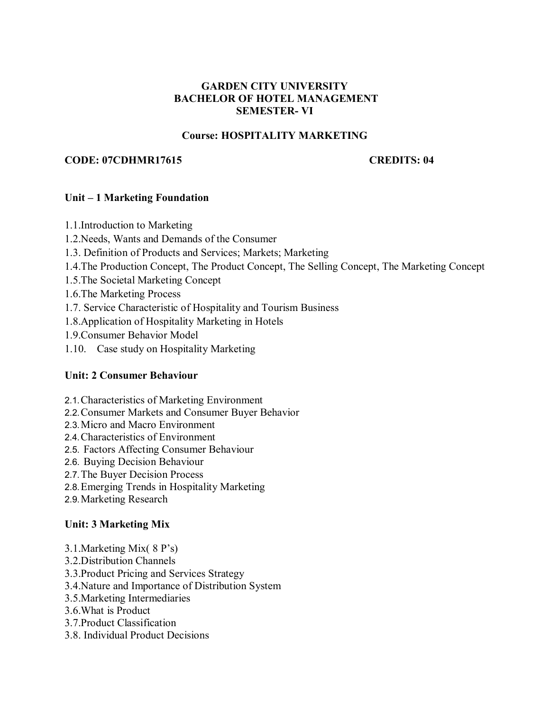#### **GARDEN CITY UNIVERSITY BACHELOR OF HOTEL MANAGEMENT SEMESTER- VI**

#### **Course: HOSPITALITY MARKETING**

#### **CODE: 07CDHMR17615 CREDITS: 04**

#### **Unit – 1 Marketing Foundation**

- 1.1.Introduction to Marketing
- 1.2.Needs, Wants and Demands of the Consumer
- 1.3. Definition of Products and Services; Markets; Marketing
- 1.4.The Production Concept, The Product Concept, The Selling Concept, The Marketing Concept
- 1.5.The Societal Marketing Concept
- 1.6.The Marketing Process
- 1.7. Service Characteristic of Hospitality and Tourism Business
- 1.8.Application of Hospitality Marketing in Hotels
- 1.9.Consumer Behavior Model
- 1.10. Case study on Hospitality Marketing

### **Unit: 2 Consumer Behaviour**

- 2.1. Characteristics of Marketing Environment
- 2.2. Consumer Markets and Consumer Buyer Behavior
- 2.3. Micro and Macro Environment
- 2.4. Characteristics of Environment
- 2.5. Factors Affecting Consumer Behaviour
- 2.6. Buying Decision Behaviour
- 2.7. The Buyer Decision Process
- 2.8. Emerging Trends in Hospitality Marketing
- 2.9. Marketing Research

### **Unit: 3 Marketing Mix**

- 3.1.Marketing Mix( 8 P's)
- 3.2.Distribution Channels
- 3.3.Product Pricing and Services Strategy
- 3.4.Nature and Importance of Distribution System
- 3.5.Marketing Intermediaries
- 3.6.What is Product
- 3.7.Product Classification
- 3.8. Individual Product Decisions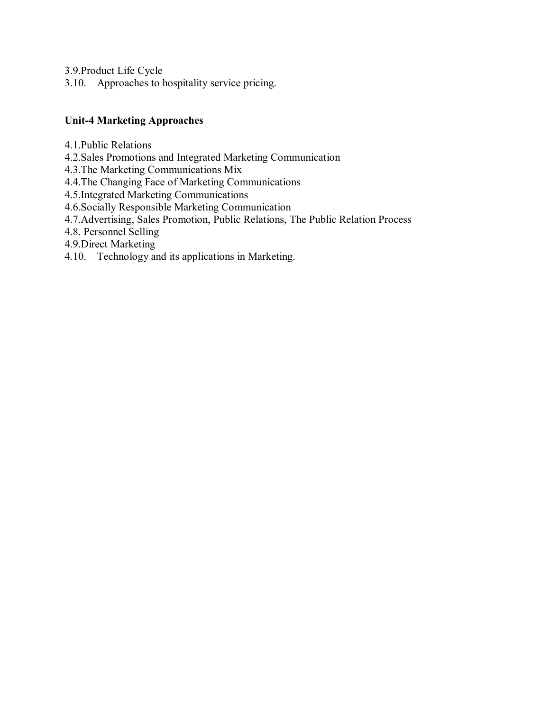3.9.Product Life Cycle

3.10. Approaches to hospitality service pricing.

# **Unit-4 Marketing Approaches**

- 4.1.Public Relations
- 4.2.Sales Promotions and Integrated Marketing Communication
- 4.3.The Marketing Communications Mix
- 4.4.The Changing Face of Marketing Communications
- 4.5.Integrated Marketing Communications
- 4.6.Socially Responsible Marketing Communication
- 4.7.Advertising, Sales Promotion, Public Relations, The Public Relation Process
- 4.8. Personnel Selling
- 4.9.Direct Marketing
- 4.10. Technology and its applications in Marketing.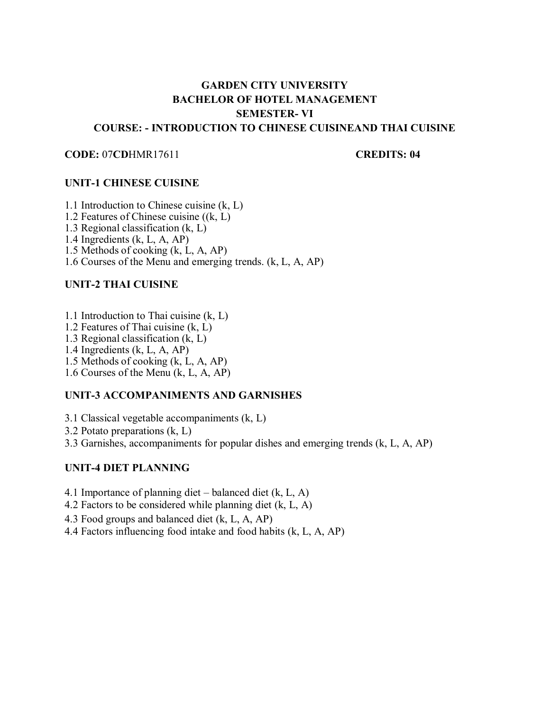# **GARDEN CITY UNIVERSITY BACHELOR OF HOTEL MANAGEMENT SEMESTER- VI COURSE: - INTRODUCTION TO CHINESE CUISINEAND THAI CUISINE**

#### **CODE:** 07**CD**HMR17611 **CODE:** 07**CD**

#### **UNIT-1 CHINESE CUISINE**

- 1.1 Introduction to Chinese cuisine (k, L)
- 1.2 Features of Chinese cuisine ((k, L)
- 1.3 Regional classification (k, L)
- 1.4 Ingredients (k, L, A, AP)
- 1.5 Methods of cooking (k, L, A, AP)
- 1.6 Courses of the Menu and emerging trends. (k, L, A, AP)

#### **UNIT-2 THAI CUISINE**

- 1.1 Introduction to Thai cuisine (k, L)
- 1.2 Features of Thai cuisine (k, L)
- 1.3 Regional classification (k, L)
- 1.4 Ingredients (k, L, A, AP)
- 1.5 Methods of cooking (k, L, A, AP)
- 1.6 Courses of the Menu (k, L, A, AP)

#### **UNIT-3 ACCOMPANIMENTS AND GARNISHES**

- 3.1 Classical vegetable accompaniments (k, L)
- 3.2 Potato preparations (k, L)
- 3.3 Garnishes, accompaniments for popular dishes and emerging trends (k, L, A, AP)

#### **UNIT-4 DIET PLANNING**

- 4.1 Importance of planning diet balanced diet (k, L, A)
- 4.2 Factors to be considered while planning diet (k, L, A)
- 4.3 Food groups and balanced diet (k, L, A, AP)
- 4.4 Factors influencing food intake and food habits (k, L, A, AP)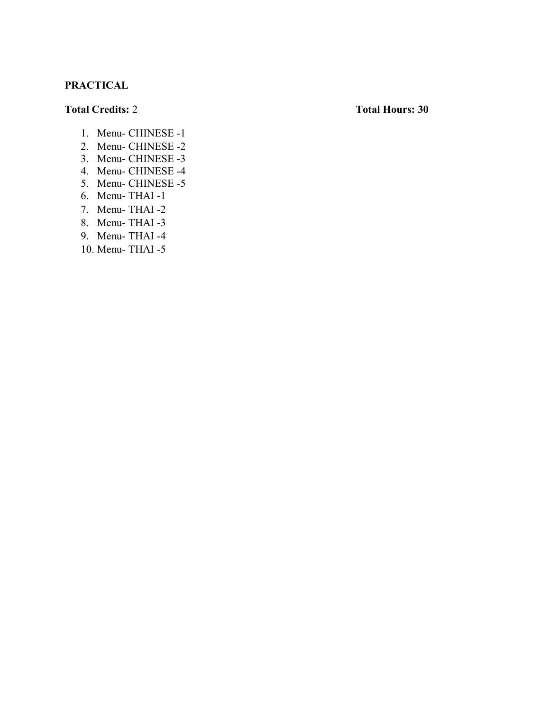# **PRACTICAL**

#### **Total Credits:** 2 **Total Hours: 30**

- 1. Menu- CHINESE -1
- 2. Menu- CHINESE -2
- 3. Menu- CHINESE -3
- 4. Menu- CHINESE -4
- 5. Menu- CHINESE -5
- 6. Menu- THAI -1
- 7. Menu- THAI -2
- 8. Menu- THAI -3
- 9. Menu- THAI -4
- 10. Menu- THAI -5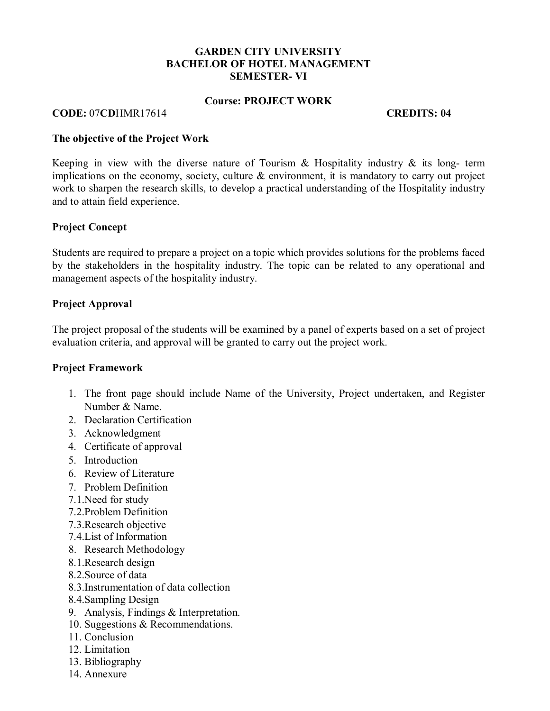#### **GARDEN CITY UNIVERSITY BACHELOR OF HOTEL MANAGEMENT SEMESTER- VI**

#### **Course: PROJECT WORK**

#### **CODE:** 07**CD**HMR17614 **CREDITS: 04**

#### **The objective of the Project Work**

Keeping in view with the diverse nature of Tourism  $\&$  Hospitality industry  $\&$  its long- term implications on the economy, society, culture & environment, it is mandatory to carry out project work to sharpen the research skills, to develop a practical understanding of the Hospitality industry and to attain field experience.

#### **Project Concept**

Students are required to prepare a project on a topic which provides solutions for the problems faced by the stakeholders in the hospitality industry. The topic can be related to any operational and management aspects of the hospitality industry.

#### **Project Approval**

The project proposal of the students will be examined by a panel of experts based on a set of project evaluation criteria, and approval will be granted to carry out the project work.

#### **Project Framework**

- 1. The front page should include Name of the University, Project undertaken, and Register Number & Name.
- 2. Declaration Certification
- 3. Acknowledgment
- 4. Certificate of approval
- 5. Introduction
- 6. Review of Literature
- 7. Problem Definition
- 7.1.Need for study
- 7.2.Problem Definition
- 7.3.Research objective
- 7.4.List of Information
- 8. Research Methodology
- 8.1.Research design
- 8.2.Source of data
- 8.3.Instrumentation of data collection
- 8.4.Sampling Design
- 9. Analysis, Findings & Interpretation.
- 10. Suggestions & Recommendations.
- 11. Conclusion
- 12. Limitation
- 13. Bibliography
- 14. Annexure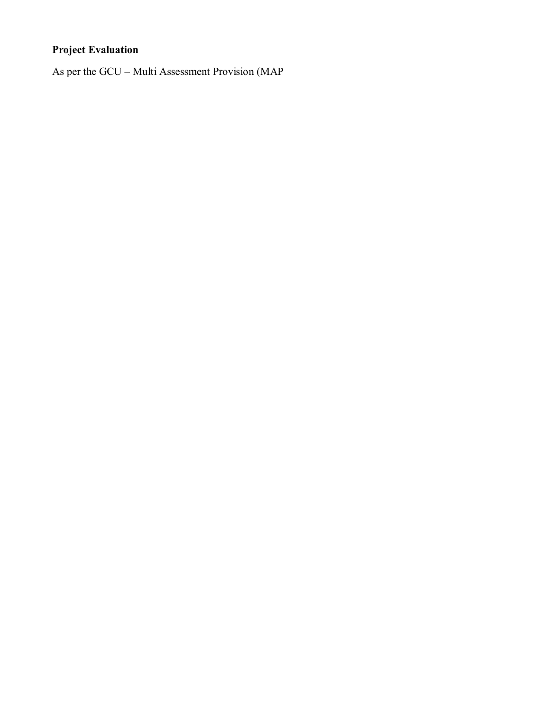# **Project Evaluation**

As per the GCU – Multi Assessment Provision (MAP